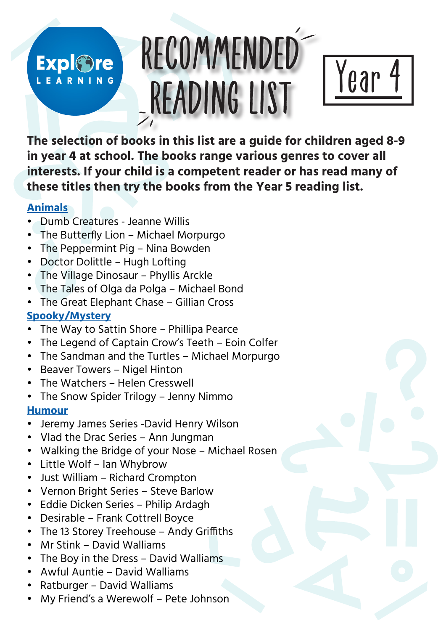# RECOMMENDED **Expl©re** LEARNING READING LIST

**The selection of books in this list are a guide for children aged 8-9 in year 4 at school. The books range various genres to cover all interests. If your child is a competent reader or has read many of these titles then try the books from the Year 5 reading list.** 

Year 4

#### **Animals**

- Dumb Creatures Jeanne Willis
- The Butterfly Lion Michael Morpurgo
- The Peppermint Pig Nina Bowden
- Doctor Dolittle Hugh Lofting
- The Village Dinosaur Phyllis Arckle
- The Tales of Olga da Polga Michael Bond
- The Great Elephant Chase Gillian Cross

# **Spooky/Mystery**

- The Way to Sattin Shore Phillipa Pearce
- The Legend of Captain Crow's Teeth Eoin Colfer
- The Sandman and the Turtles Michael Morpurgo
- Beaver Towers Nigel Hinton
- The Watchers Helen Cresswell
- The Snow Spider Trilogy Jenny Nimmo

## **Humour**

- Jeremy James Series -David Henry Wilson
- Vlad the Drac Series Ann Jungman
- Walking the Bridge of your Nose Michael Rosen
- Little Wolf Ian Whybrow
- Just William Richard Crompton
- Vernon Bright Series Steve Barlow
- Eddie Dicken Series Philip Ardagh
- Desirable Frank Cottrell Boyce
- The 13 Storey Treehouse Andy Griffiths
- Mr Stink David Walliams
- The Boy in the Dress David Walliams
- Awful Auntie David Walliams
- Ratburger David Walliams
- My Friend's a Werewolf Pete Johnson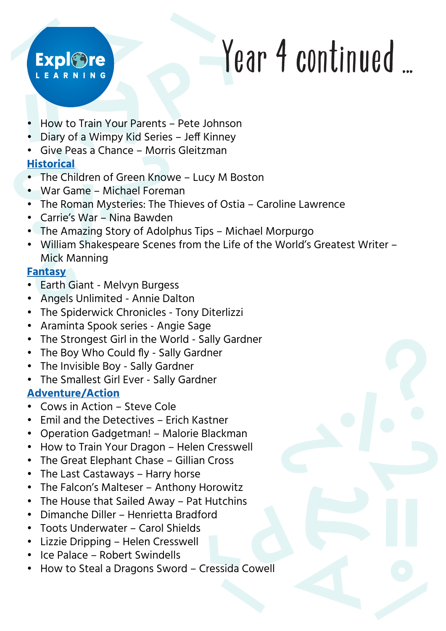# **Expl©re** EARNING

# Year 4 continued ...

- How to Train Your Parents Pete Johnson
- Diary of a Wimpy Kid Series Jeff Kinney
- Give Peas a Chance Morris Gleitzman

# **Historical**

- The Children of Green Knowe Lucy M Boston
- War Game Michael Foreman
- The Roman Mysteries: The Thieves of Ostia Caroline Lawrence
- Carrie's War Nina Bawden
- The Amazing Story of Adolphus Tips Michael Morpurgo
- William Shakespeare Scenes from the Life of the World's Greatest Writer Mick Manning

### **Fantasy**

- Earth Giant Melvyn Burgess
- Angels Unlimited Annie Dalton
- The Spiderwick Chronicles Tony Diterlizzi
- Araminta Spook series Angie Sage
- The Strongest Girl in the World Sally Gardner
- The Boy Who Could fly Sally Gardner
- The Invisible Boy Sally Gardner
- The Smallest Girl Ever Sally Gardner

## **Adventure/Action**

- Cows in Action Steve Cole
- Emil and the Detectives Erich Kastner
- Operation Gadgetman! Malorie Blackman
- How to Train Your Dragon Helen Cresswell
- The Great Elephant Chase Gillian Cross
- The Last Castaways Harry horse
- The Falcon's Malteser Anthony Horowitz
- The House that Sailed Away Pat Hutchins
- Dimanche Diller Henrietta Bradford
- Toots Underwater Carol Shields
- Lizzie Dripping Helen Cresswell
- Ice Palace Robert Swindells
- How to Steal a Dragons Sword Cressida Cowell